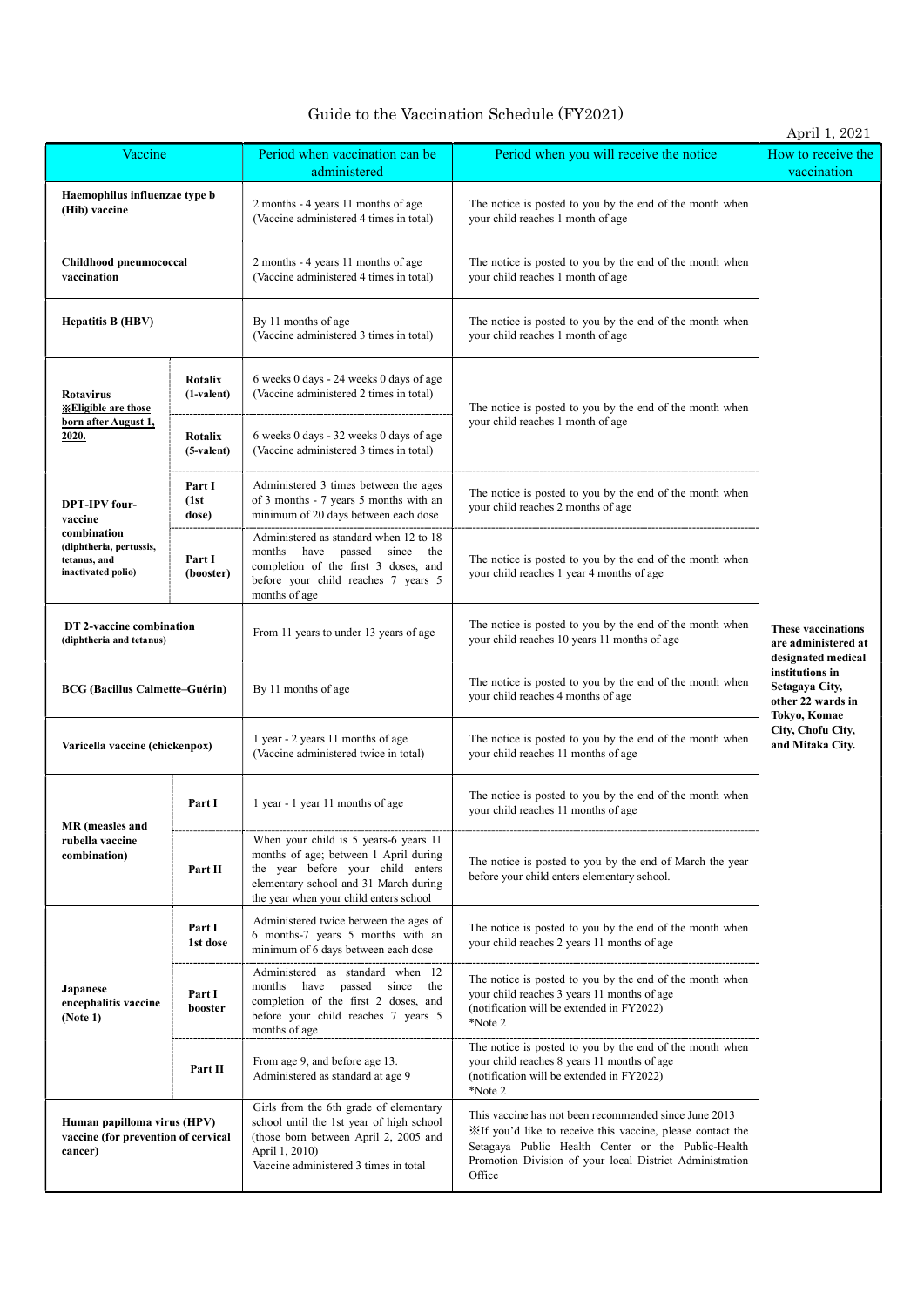## Guide to the Vaccination Schedule (FY2021)

|                                                                               |                          |                                                                                                                                                                                                        |                                                                                                                                                                                                                                                 | April 1, 2021                                                          |  |
|-------------------------------------------------------------------------------|--------------------------|--------------------------------------------------------------------------------------------------------------------------------------------------------------------------------------------------------|-------------------------------------------------------------------------------------------------------------------------------------------------------------------------------------------------------------------------------------------------|------------------------------------------------------------------------|--|
| Vaccine                                                                       |                          | Period when vaccination can be<br>administered                                                                                                                                                         | Period when you will receive the notice                                                                                                                                                                                                         | How to receive the<br>vaccination                                      |  |
| Haemophilus influenzae type b<br>(Hib) vaccine                                |                          | 2 months - 4 years 11 months of age<br>(Vaccine administered 4 times in total)                                                                                                                         | The notice is posted to you by the end of the month when<br>your child reaches 1 month of age                                                                                                                                                   |                                                                        |  |
| Childhood pneumococcal<br>vaccination                                         |                          | 2 months - 4 years 11 months of age<br>(Vaccine administered 4 times in total)                                                                                                                         | The notice is posted to you by the end of the month when<br>your child reaches 1 month of age<br>The notice is posted to you by the end of the month when<br>your child reaches 1 month of age                                                  |                                                                        |  |
| <b>Hepatitis B (HBV)</b>                                                      |                          | By 11 months of age<br>(Vaccine administered 3 times in total)                                                                                                                                         |                                                                                                                                                                                                                                                 |                                                                        |  |
| Rotavirus<br><b><i><u><b>XEligible</b></u></i></b> are those                  | Rotalix<br>(1-valent)    | 6 weeks 0 days - 24 weeks 0 days of age<br>(Vaccine administered 2 times in total)                                                                                                                     | The notice is posted to you by the end of the month when                                                                                                                                                                                        |                                                                        |  |
| born after August 1,<br>2020.                                                 | Rotalix<br>$(5-valuent)$ | 6 weeks 0 days - 32 weeks 0 days of age<br>(Vaccine administered 3 times in total)                                                                                                                     | your child reaches 1 month of age                                                                                                                                                                                                               |                                                                        |  |
| <b>DPT-IPV</b> four-<br>vaccine                                               | Part I<br>(1st)<br>dose) | Administered 3 times between the ages<br>of 3 months - 7 years 5 months with an<br>minimum of 20 days between each dose                                                                                | The notice is posted to you by the end of the month when<br>your child reaches 2 months of age                                                                                                                                                  |                                                                        |  |
| combination<br>(diphtheria, pertussis,<br>tetanus, and<br>inactivated polio)  | Part I<br>(booster)      | Administered as standard when 12 to 18<br>months have passed<br>since the<br>completion of the first 3 doses, and<br>before your child reaches 7 years 5<br>months of age                              | The notice is posted to you by the end of the month when<br>your child reaches 1 year 4 months of age                                                                                                                                           |                                                                        |  |
| DT 2-vaccine combination<br>(diphtheria and tetanus)                          |                          | From 11 years to under 13 years of age                                                                                                                                                                 | The notice is posted to you by the end of the month when<br>your child reaches 10 years 11 months of age                                                                                                                                        | <b>These vaccinations</b><br>are administered at<br>designated medical |  |
| <b>BCG</b> (Bacillus Calmette–Guérin)                                         |                          | By 11 months of age                                                                                                                                                                                    | The notice is posted to you by the end of the month when<br>your child reaches 4 months of age                                                                                                                                                  | institutions in<br>Setagaya City,<br>other 22 wards in<br>Tokyo, Komae |  |
| Varicella vaccine (chickenpox)                                                |                          | 1 year - 2 years 11 months of age<br>(Vaccine administered twice in total)                                                                                                                             | The notice is posted to you by the end of the month when<br>your child reaches 11 months of age                                                                                                                                                 | City, Chofu City,<br>and Mitaka City.                                  |  |
| MR (measles and                                                               | Part I                   | 1 year - 1 year 11 months of age                                                                                                                                                                       | The notice is posted to you by the end of the month when<br>your child reaches 11 months of age                                                                                                                                                 |                                                                        |  |
| rubella vaccine<br>combination)                                               | Part II                  | When your child is 5 years-6 years 11<br>months of age; between 1 April during<br>the year before your child enters<br>elementary school and 31 March during<br>the year when your child enters school | The notice is posted to you by the end of March the year<br>before your child enters elementary school.                                                                                                                                         |                                                                        |  |
|                                                                               | Part I<br>1st dose       | Administered twice between the ages of<br>6 months-7 years 5 months with an<br>minimum of 6 days between each dose                                                                                     | The notice is posted to you by the end of the month when<br>your child reaches 2 years 11 months of age                                                                                                                                         |                                                                        |  |
| Japanese<br>encephalitis vaccine<br>(Note 1)                                  | Part I<br>booster        | Administered as standard when 12<br>months have passed since the<br>completion of the first 2 doses, and<br>before your child reaches 7 years 5<br>months of age                                       | The notice is posted to you by the end of the month when<br>your child reaches 3 years 11 months of age<br>(notification will be extended in FY2022)<br>*Note 2                                                                                 |                                                                        |  |
|                                                                               | Part II                  | From age 9, and before age 13.<br>Administered as standard at age 9                                                                                                                                    | The notice is posted to you by the end of the month when<br>your child reaches 8 years 11 months of age<br>(notification will be extended in FY2022)<br>*Note 2                                                                                 |                                                                        |  |
| Human papilloma virus (HPV)<br>vaccine (for prevention of cervical<br>cancer) |                          | Girls from the 6th grade of elementary<br>school until the 1st year of high school<br>(those born between April 2, 2005 and<br>April 1, 2010)<br>Vaccine administered 3 times in total                 | This vaccine has not been recommended since June 2013<br>XIf you'd like to receive this vaccine, please contact the<br>Setagaya Public Health Center or the Public-Health<br>Promotion Division of your local District Administration<br>Office |                                                                        |  |